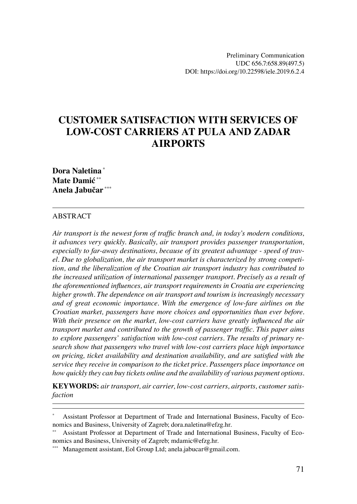# **CUSTOMER SATISFACTION WITH SERVICES OF LOW-COST CARRIERS AT PULA AND ZADAR AIRPORTS**

**Dora Naletina** \* **Mate Damić** \*\* **Anela Jabučar** \*\*\*

#### ABSTRACT

*Air transport is the newest form of traffic branch and, in today's modern conditions, it advances very quickly. Basically, air transport provides passenger transportation, especially to far-away destinations, because of its greatest advantage - speed of travel. Due to globalization, the air transport market is characterized by strong competition, and the liberalization of the Croatian air transport industry has contributed to the increased utilization of international passenger transport. Precisely as a result of the aforementioned influences, air transport requirements in Croatia are experiencing higher growth. The dependence on air transport and tourism is increasingly necessary and of great economic importance. With the emergence of low-fare airlines on the Croatian market, passengers have more choices and opportunities than ever before. With their presence on the market, low-cost carriers have greatly influenced the air transport market and contributed to the growth of passenger traffic. This paper aims to explore passengers' satisfaction with low-cost carriers. The results of primary research show that passengers who travel with low-cost carriers place high importance on pricing, ticket availability and destination availability, and are satisfied with the service they receive in comparison to the ticket price. Passengers place importance on how quickly they can buy tickets online and the availability of various payment options.*

**KEYWORDS:** *air transport, air carrier, low-cost carriers, airports, customer satisfaction*

Assistant Professor at Department of Trade and International Business, Faculty of Economics and Business, University of Zagreb; dora.naletina@efzg.hr.

Assistant Professor at Department of Trade and International Business, Faculty of Economics and Business, University of Zagreb; mdamic@efzg.hr.

Management assistant, Eol Group Ltd; anela.jabucar@gmail.com.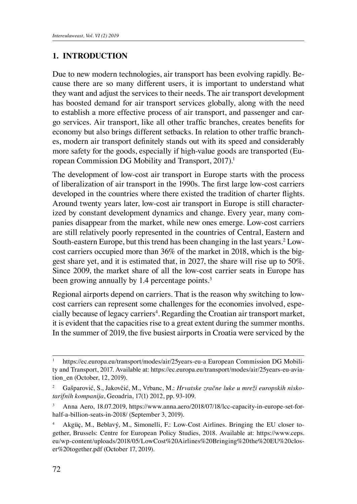# **1. INTRODUCTION**

Due to new modern technologies, air transport has been evolving rapidly. Because there are so many different users, it is important to understand what they want and adjust the services to their needs. The air transport development has boosted demand for air transport services globally, along with the need to establish a more effective process of air transport, and passenger and cargo services. Air transport, like all other traffic branches, creates benefits for economy but also brings different setbacks. In relation to other traffic branches, modern air transport definitely stands out with its speed and considerably more safety for the goods, especially if high-value goods are transported (European Commission DG Mobility and Transport, 2017).<sup>1</sup>

The development of low-cost air transport in Europe starts with the process of liberalization of air transport in the 1990s. The first large low-cost carriers developed in the countries where there existed the tradition of charter flights. Around twenty years later, low-cost air transport in Europe is still characterized by constant development dynamics and change. Every year, many companies disappear from the market, while new ones emerge. Low-cost carriers are still relatively poorly represented in the countries of Central, Eastern and South-eastern Europe, but this trend has been changing in the last years.<sup>2</sup> Lowcost carriers occupied more than 36% of the market in 2018, which is the biggest share yet, and it is estimated that, in 2027, the share will rise up to 50%. Since 2009, the market share of all the low-cost carrier seats in Europe has been growing annually by 1.4 percentage points.<sup>3</sup>

Regional airports depend on carriers. That is the reason why switching to lowcost carriers can represent some challenges for the economies involved, especially because of legacy carriers<sup>4</sup>. Regarding the Croatian air transport market, it is evident that the capacities rise to a great extent during the summer months. In the summer of 2019, the five busiest airports in Croatia were serviced by the

https://ec.europa.eu/transport/modes/air/25years-eu-a European Commission DG Mobility and Transport, 2017. Available at: https://ec.europa.eu/transport/modes/air/25years-eu-aviation\_en (October, 12, 2019).

<sup>2</sup> Gašparović, S., Jakovčić, M., Vrbanc, M.: *Hrvatske zračne luke u mreži europskih niskotarifnih kompanija*, Geoadria, 17(1) 2012, pp. 93-109.

<sup>3</sup> Anna Aero, 18.07.2019, https://www.anna.aero/2018/07/18/lcc-capacity-in-europe-set-forhalf-a-billion-seats-in-2018/ (September 3, 2019).

<sup>4</sup> Akgüç, M., Beblavý, M., Simonelli, F.: Low-Cost Airlines. Bringing the EU closer together, Brussels: Centre for European Policy Studies, 2018. Available at: https://www.ceps. eu/wp-content/uploads/2018/05/LowCost%20Airlines%20Bringing%20the%20EU%20closer%20together.pdf (October 17, 2019).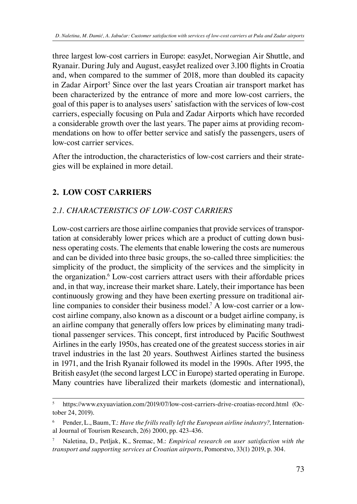three largest low-cost carriers in Europe: easyJet, Norwegian Air Shuttle, and Ryanair. During July and August, easyJet realized over 3.100 flights in Croatia and, when compared to the summer of 2018, more than doubled its capacity in Zadar Airport<sup>5</sup> Since over the last years Croatian air transport market has been characterized by the entrance of more and more low-cost carriers, the goal of this paper is to analyses users' satisfaction with the services of low-cost carriers, especially focusing on Pula and Zadar Airports which have recorded a considerable growth over the last years. The paper aims at providing recommendations on how to offer better service and satisfy the passengers, users of low-cost carrier services.

After the introduction, the characteristics of low-cost carriers and their strategies will be explained in more detail.

# **2. LOW COST CARRIERS**

# *2.1. CHARACTERISTICS OF LOW-COST CARRIERS*

Low-cost carriers are those airline companies that provide services of transportation at considerably lower prices which are a product of cutting down business operating costs. The elements that enable lowering the costs are numerous and can be divided into three basic groups, the so-called three simplicities: the simplicity of the product, the simplicity of the services and the simplicity in the organization.<sup>6</sup> Low-cost carriers attract users with their affordable prices and, in that way, increase their market share. Lately, their importance has been continuously growing and they have been exerting pressure on traditional airline companies to consider their business model.7 A low-cost carrier or a lowcost airline company, also known as a discount or a budget airline company, is an airline company that generally offers low prices by eliminating many traditional passenger services. This concept, first introduced by Pacific Southwest Airlines in the early 1950s, has created one of the greatest success stories in air travel industries in the last 20 years. Southwest Airlines started the business in 1971, and the Irish Ryanair followed its model in the 1990s. After 1995, the British easyJet (the second largest LCC in Europe) started operating in Europe. Many countries have liberalized their markets (domestic and international),

<sup>5</sup> https://www.exyuaviation.com/2019/07/low-cost-carriers-drive-croatias-record.html (October 24, 2019).

<sup>6</sup> Pender, L., Baum, T.: *Have the frills really left the European airline industry?,* International Journal of Tourism Research, 2(6) 2000, pp. 423-436.

<sup>7</sup> Naletina, D., Petljak, K., Sremac, M.: *Empirical research on user satisfaction with the transport and supporting services at Croatian airports*, Pomorstvo, 33(1) 2019, p. 304.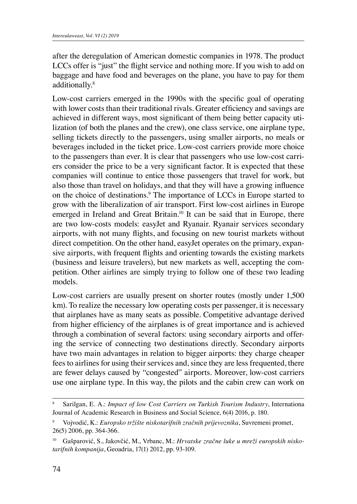after the deregulation of American domestic companies in 1978. The product LCCs offer is "just" the flight service and nothing more. If you wish to add on baggage and have food and beverages on the plane, you have to pay for them additionally.8

Low-cost carriers emerged in the 1990s with the specific goal of operating with lower costs than their traditional rivals. Greater efficiency and savings are achieved in different ways, most significant of them being better capacity utilization (of both the planes and the crew), one class service, one airplane type, selling tickets directly to the passengers, using smaller airports, no meals or beverages included in the ticket price. Low-cost carriers provide more choice to the passengers than ever. It is clear that passengers who use low-cost carriers consider the price to be a very significant factor. It is expected that these companies will continue to entice those passengers that travel for work, but also those than travel on holidays, and that they will have a growing influence on the choice of destinations.9 The importance of LCCs in Europe started to grow with the liberalization of air transport. First low-cost airlines in Europe emerged in Ireland and Great Britain.<sup>10</sup> It can be said that in Europe, there are two low-costs models: easyJet and Ryanair. Ryanair services secondary airports, with not many flights, and focusing on new tourist markets without direct competition. On the other hand, easyJet operates on the primary, expansive airports, with frequent flights and orienting towards the existing markets (business and leisure travelers), but new markets as well, accepting the competition. Other airlines are simply trying to follow one of these two leading models.

Low-cost carriers are usually present on shorter routes (mostly under 1,500 km). To realize the necessary low operating costs per passenger, it is necessary that airplanes have as many seats as possible. Competitive advantage derived from higher efficiency of the airplanes is of great importance and is achieved through a combination of several factors: using secondary airports and offering the service of connecting two destinations directly. Secondary airports have two main advantages in relation to bigger airports: they charge cheaper fees to airlines for using their services and, since they are less frequented, there are fewer delays caused by "congested" airports. Moreover, low-cost carriers use one airplane type. In this way, the pilots and the cabin crew can work on

<sup>8</sup> Sarilgan, E. A.: *Impact of low Cost Carriers on Turkish Tourism Industry*, Internationa Journal of Academic Research in Business and Social Science*,* 6(4) 2016, p. 180.

<sup>9</sup> Vojvodić, K.: *Europsko tržište niskotarifnih zračnih prijevoznika*, Suvremeni promet, 26(5) 2006, pp. 364-366.

<sup>10</sup> Gašparović, S., Jakovčić, M., Vrbanc, M.: *Hrvatske zračne luke u mreži europskih niskotarifnih kompanija*, Geoadria, 17(1) 2012, pp. 93-109.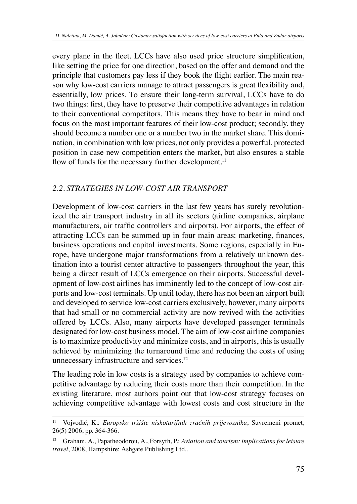every plane in the fleet. LCCs have also used price structure simplification, like setting the price for one direction, based on the offer and demand and the principle that customers pay less if they book the flight earlier. The main reason why low-cost carriers manage to attract passengers is great flexibility and, essentially, low prices. To ensure their long-term survival, LCCs have to do two things: first, they have to preserve their competitive advantages in relation to their conventional competitors. This means they have to bear in mind and focus on the most important features of their low-cost product; secondly, they should become a number one or a number two in the market share. This domination, in combination with low prices, not only provides a powerful, protected position in case new competition enters the market, but also ensures a stable flow of funds for the necessary further development.<sup>11</sup>

# *2.2. STRATEGIES IN LOW-COST AIR TRANSPORT*

Development of low-cost carriers in the last few years has surely revolutionized the air transport industry in all its sectors (airline companies, airplane manufacturers, air traffic controllers and airports). For airports, the effect of attracting LCCs can be summed up in four main areas: marketing, finances, business operations and capital investments. Some regions, especially in Europe, have undergone major transformations from a relatively unknown destination into a tourist center attractive to passengers throughout the year, this being a direct result of LCCs emergence on their airports. Successful development of low-cost airlines has imminently led to the concept of low-cost airports and low-cost terminals. Up until today, there has not been an airport built and developed to service low-cost carriers exclusively, however, many airports that had small or no commercial activity are now revived with the activities offered by LCCs. Also, many airports have developed passenger terminals designated for low-cost business model. The aim of low-cost airline companies is to maximize productivity and minimize costs, and in airports, this is usually achieved by minimizing the turnaround time and reducing the costs of using unnecessary infrastructure and services.<sup>12</sup>

The leading role in low costs is a strategy used by companies to achieve competitive advantage by reducing their costs more than their competition. In the existing literature, most authors point out that low-cost strategy focuses on achieving competitive advantage with lowest costs and cost structure in the

<sup>11</sup> Vojvodić, K.: *Europsko tržište niskotarifnih zračnih prijevoznika*, Suvremeni promet, 26(5) 2006, pp. 364-366.

<sup>12</sup> Graham, A., Papatheodorou, A., Forsyth, P.: *Aviation and tourism: implications for leisure travel*, 2008, Hampshire: Ashgate Publishing Ltd..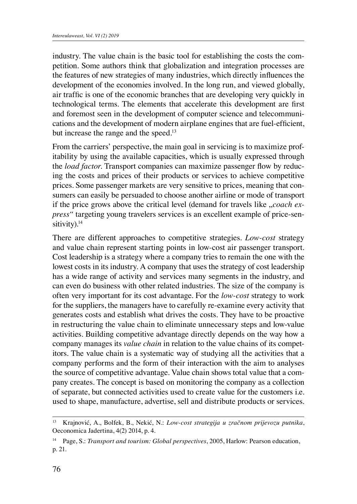industry. The value chain is the basic tool for establishing the costs the competition. Some authors think that globalization and integration processes are the features of new strategies of many industries, which directly influences the development of the economies involved. In the long run, and viewed globally, air traffic is one of the economic branches that are developing very quickly in technological terms. The elements that accelerate this development are first and foremost seen in the development of computer science and telecommunications and the development of modern airplane engines that are fuel-efficient, but increase the range and the speed.<sup>13</sup>

From the carriers' perspective, the main goal in servicing is to maximize profitability by using the available capacities, which is usually expressed through the *load factor*. Transport companies can maximize passenger flow by reducing the costs and prices of their products or services to achieve competitive prices. Some passenger markets are very sensitive to prices, meaning that consumers can easily be persuaded to choose another airline or mode of transport if the price grows above the critical level (demand for travels like *"coach express"* targeting young travelers services is an excellent example of price-sensitivity).<sup>14</sup>

There are different approaches to competitive strategies. *Low-cost* strategy and value chain represent starting points in low-cost air passenger transport. Cost leadership is a strategy where a company tries to remain the one with the lowest costs in its industry. A company that uses the strategy of cost leadership has a wide range of activity and services many segments in the industry, and can even do business with other related industries. The size of the company is often very important for its cost advantage. For the *low-cost* strategy to work for the suppliers, the managers have to carefully re-examine every activity that generates costs and establish what drives the costs. They have to be proactive in restructuring the value chain to eliminate unnecessary steps and low-value activities. Building competitive advantage directly depends on the way how a company manages its *value chain* in relation to the value chains of its competitors. The value chain is a systematic way of studying all the activities that a company performs and the form of their interaction with the aim to analyses the source of competitive advantage. Value chain shows total value that a company creates. The concept is based on monitoring the company as a collection of separate, but connected activities used to create value for the customers i.e. used to shape, manufacture, advertise, sell and distribute products or services.

<sup>13</sup> Krajnović, A., Bolfek, B., Nekić, N.: *Low-cost strategija u zračnom prijevozu putnika*, Oeconomica Jadertina, 4(2) 2014, p. 4.

<sup>14</sup> Page, S.: *Transport and tourism: Global perspectives*, 2005, Harlow: Pearson education, p. 21.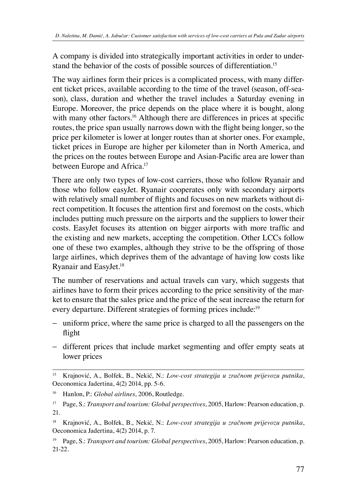A company is divided into strategically important activities in order to understand the behavior of the costs of possible sources of differentiation.<sup>15</sup>

The way airlines form their prices is a complicated process, with many different ticket prices, available according to the time of the travel (season, off-season), class, duration and whether the travel includes a Saturday evening in Europe. Moreover, the price depends on the place where it is bought, along with many other factors.<sup>16</sup> Although there are differences in prices at specific routes, the price span usually narrows down with the flight being longer, so the price per kilometer is lower at longer routes than at shorter ones. For example, ticket prices in Europe are higher per kilometer than in North America, and the prices on the routes between Europe and Asian-Pacific area are lower than between Europe and Africa.<sup>17</sup>

There are only two types of low-cost carriers, those who follow Ryanair and those who follow easyJet. Ryanair cooperates only with secondary airports with relatively small number of flights and focuses on new markets without direct competition. It focuses the attention first and foremost on the costs, which includes putting much pressure on the airports and the suppliers to lower their costs. EasyJet focuses its attention on bigger airports with more traffic and the existing and new markets, accepting the competition. Other LCCs follow one of these two examples, although they strive to be the offspring of those large airlines, which deprives them of the advantage of having low costs like Ryanair and EasyJet.<sup>18</sup>

The number of reservations and actual travels can vary, which suggests that airlines have to form their prices according to the price sensitivity of the market to ensure that the sales price and the price of the seat increase the return for every departure. Different strategies of forming prices include:19

- − uniform price, where the same price is charged to all the passengers on the flight
- − different prices that include market segmenting and offer empty seats at lower prices

<sup>15</sup> Krajnović, A., Bolfek, B., Nekić, N.: *Low-cost strategija u zračnom prijevozu putnika*, Oeconomica Jadertina, 4(2) 2014, pp. 5-6.

<sup>16</sup> Hanlon, P.: *Global airlines*, 2006, Routledge.

<sup>17</sup> Page, S.: *Transport and tourism: Global perspectives*, 2005, Harlow: Pearson education, p. 21.

<sup>18</sup> Krajnović, A., Bolfek, B., Nekić, N.: *Low-cost strategija u zračnom prijevozu putnika*, Oeconomica Jadertina, 4(2) 2014, p. 7.

<sup>19</sup> Page, S.: *Transport and tourism: Global perspectives*, 2005, Harlow: Pearson education, p. 21-22.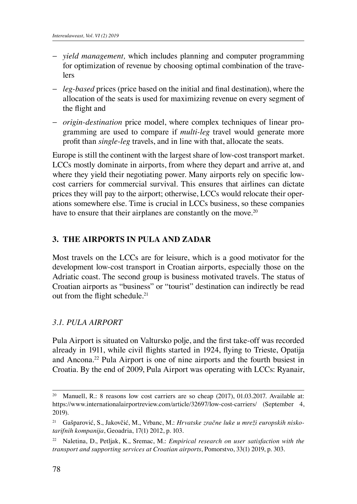- − *yield management,* which includes planning and computer programming for optimization of revenue by choosing optimal combination of the travelers
- − *leg-based* prices (price based on the initial and final destination), where the allocation of the seats is used for maximizing revenue on every segment of the flight and
- − *origin-destination* price model, where complex techniques of linear programming are used to compare if *multi-leg* travel would generate more profit than *single-leg* travels, and in line with that, allocate the seats.

Europe is still the continent with the largest share of low-cost transport market. LCCs mostly dominate in airports, from where they depart and arrive at, and where they yield their negotiating power. Many airports rely on specific lowcost carriers for commercial survival. This ensures that airlines can dictate prices they will pay to the airport; otherwise, LCCs would relocate their operations somewhere else. Time is crucial in LCCs business, so these companies have to ensure that their airplanes are constantly on the move.<sup>20</sup>

# **3. THE AIRPORTS IN PULA AND ZADAR**

Most travels on the LCCs are for leisure, which is a good motivator for the development low-cost transport in Croatian airports, especially those on the Adriatic coast. The second group is business motivated travels. The status of Croatian airports as "business" or "tourist" destination can indirectly be read out from the flight schedule.<sup>21</sup>

## *3.1*. *PULA AIRPORT*

Pula Airport is situated on Valtursko polje, and the first take-off was recorded already in 1911, while civil flights started in 1924, flying to Trieste, Opatija and Ancona.22 Pula Airport is one of nine airports and the fourth busiest in Croatia. By the end of 2009, Pula Airport was operating with LCCs: Ryanair,

<sup>&</sup>lt;sup>20</sup> Manuell, R.: 8 reasons low cost carriers are so cheap  $(2017)$ ,  $01.03.2017$ . Available at: https://www.internationalairportreview.com/article/32697/low-cost-carriers/ (September 4, 2019).

<sup>21</sup> Gašparović, S., Jakovčić, M., Vrbanc, M.: *Hrvatske zračne luke u mreži europskih niskotarifnih kompanija*, Geoadria, 17(1) 2012, p. 103.

<sup>22</sup> Naletina, D., Petljak, K., Sremac, M.: *Empirical research on user satisfaction with the transport and supporting services at Croatian airports*, Pomorstvo, 33(1) 2019, p. 303.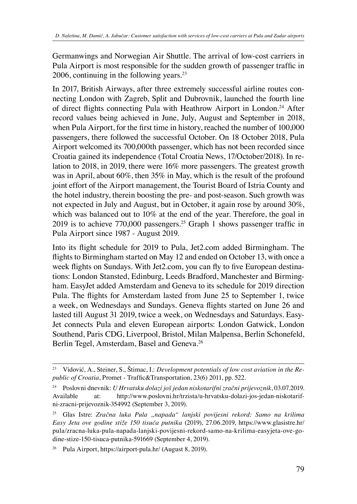Germanwings and Norwegian Air Shuttle. The arrival of low-cost carriers in Pula Airport is most responsible for the sudden growth of passenger traffic in 2006, continuing in the following years. $2<sup>3</sup>$ 

In 2017, British Airways, after three extremely successful airline routes connecting London with Zagreb, Split and Dubrovnik, launched the fourth line of direct flights connecting Pula with Heathrow Airport in London.24 After record values being achieved in June, July, August and September in 2018, when Pula Airport, for the first time in history, reached the number of 100,000 passengers, there followed the successful October. On 18 October 2018, Pula Airport welcomed its 700,000th passenger, which has not been recorded since Croatia gained its independence (Total Croatia News, 17/October/2018). In relation to 2018, in 2019, there were 16% more passengers. The greatest growth was in April, about 60%, then 35% in May, which is the result of the profound joint effort of the Airport management, the Tourist Board of Istria County and the hotel industry, therein boosting the pre- and post-season. Such growth was not expected in July and August, but in October, it again rose by around 30%, which was balanced out to 10% at the end of the year. Therefore, the goal in 2019 is to achieve 770,000 passengers.<sup>25</sup> Graph 1 shows passenger traffic in Pula Airport since 1987 - August 2019.

Into its flight schedule for 2019 to Pula, Jet2.com added Birmingham. The flights to Birmingham started on May 12 and ended on October 13, with once a week flights on Sundays. With Jet2.com, you can fly to five European destinations: London Stansted, Edinburg, Leeds Bradford, Manchester and Birmingham. EasyJet added Amsterdam and Geneva to its schedule for 2019 direction Pula. The flights for Amsterdam lasted from June 25 to September 1, twice a week, on Wednesdays and Sundays. Geneva flights started on June 26 and lasted till August 31 2019, twice a week, on Wednesdays and Saturdays. Easy-Jet connects Pula and eleven European airports: London Gatwick, London Southend, Paris CDG, Liverpool, Bristol, Milan Malpensa, Berlin Schonefeld, Berlin Tegel, Amsterdam, Basel and Geneva.<sup>26</sup>

<sup>23</sup> Vidović, A., Steiner, S., Štimac, I.: *Development potentials of low cost aviation in the Republic of Croatia*, Promet - Traffic&Transportation, 23(6) 2011, pp. 522.

<sup>24</sup> Poslovni dnevnik: *U Hrvatsku dolazi još jedan niskotarifni zračni prijevoznik*, 03.07.2019. Available at: http://www.poslovni.hr/trzista/u-hrvatsku-dolazi-jos-jedan-niskotarifni-zracni-prijevoznik-354992 (September 3, 2019).

<sup>&</sup>lt;sup>25</sup> Glas Istre: Zračna luka Pula "napada" lanjski povijesni rekord: Samo na krilima *Easy Jeta ove godine stiže 150 tisuća putnika* (2019), 27.06.2019, https://www.glasistre.hr/ pula/zracna-luka-pula-napada-lanjski-povijesni-rekord-samo-na-krilima-easyjeta-ove-godine-stize-150-tisuca-putnika-591669 (September 4, 2019).

<sup>26</sup> Pula Airport, https://airport-pula.hr/ (August 8, 2019).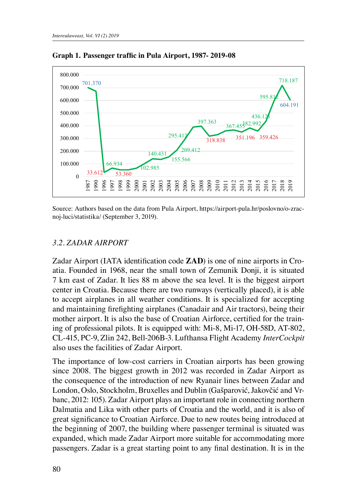

**Graph 1. Passenger traffic in Pula Airport, 1987- 2019-08**

Source: Authors based on the data from Pula Airport, https://airport-pula.hr/poslovno/o-zracnoj-luci/statistika/ (September 3, 2019). (September 3, 2019).

# *3.2. ZADAR AIRPORT*

Zadar Airport (IATA identification code **ZAD**) is one of nine airports in Croatia. Founded in 1968, near the small town of Zemunik Donji, it is situated 7 km east of Zadar. It lies 88 m above the sea level. It is the biggest airport center in Croatia. Because there are two runways (vertically placed), it is able to accept airplanes in all weather conditions. It is specialized for accepting and maintaining firefighting airplanes (Canadair and Air tractors), being their mother airport. It is also the base of Croatian Airforce, certified for the training of professional pilots. It is equipped with: Mi-8, Mi-17, OH-58D, AT-802, CL-415, PC-9, Zlin 242, Bell-206B-3. Lufthansa Flight Academy *InterCockpit*  also uses the facilities of Zadar Airport. **3.2. Zadar Airport**

The importance of low-cost carriers in Croatian airports has been growing in Croatian airports in Croatian airports in Croatian airports in Croatian airports in Croatian airports in Croatian airports in Croatian airports i since 2008. The biggest growth in 2012 was recorded in Zadar Airport as the consequence of the introduction of new Ryanair lines between Zadar and London, Oslo, Stockholm, Bruxelles and Dublin (Gašparović, Jakovčić and Vrbanc, 2012: 105). Zadar Airport plays an important role in connecting northern Dalmatia and Lika with other parts of Croatia and the world, and it is also of great significance to Croatian Airforce. Due to new routes being introduced at the beginning of 2007, the building where passenger terminal is situated was expanded, which made Zadar Airport more suitable for accommodating more passengers. Zadar is a great starting point to any final destination. It is in the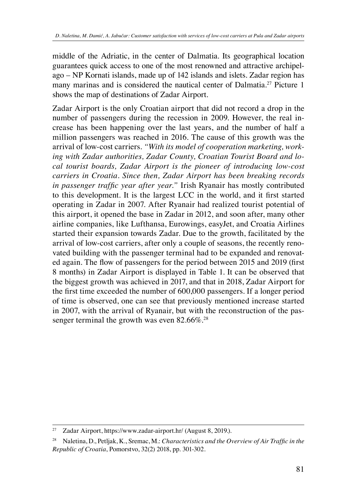middle of the Adriatic, in the center of Dalmatia. Its geographical location guarantees quick access to one of the most renowned and attractive archipelago – NP Kornati islands, made up of 142 islands and islets. Zadar region has many marinas and is considered the nautical center of Dalmatia.<sup>27</sup> Picture 1 shows the map of destinations of Zadar Airport.

Zadar Airport is the only Croatian airport that did not record a drop in the number of passengers during the recession in 2009. However, the real increase has been happening over the last years, and the number of half a million passengers was reached in 2016. The cause of this growth was the arrival of low-cost carriers. *"With its model of cooperation marketing, working with Zadar authorities, Zadar County, Croatian Tourist Board and local tourist boards, Zadar Airport is the pioneer of introducing low-cost carriers in Croatia. Since then, Zadar Airport has been breaking records in passenger traffic year after year."* Irish Ryanair has mostly contributed to this development. It is the largest LCC in the world, and it first started operating in Zadar in 2007. After Ryanair had realized tourist potential of this airport, it opened the base in Zadar in 2012, and soon after, many other airline companies, like Lufthansa, Eurowings, easyJet, and Croatia Airlines started their expansion towards Zadar. Due to the growth, facilitated by the arrival of low-cost carriers, after only a couple of seasons, the recently renovated building with the passenger terminal had to be expanded and renovated again. The flow of passengers for the period between 2015 and 2019 (first 8 months) in Zadar Airport is displayed in Table 1. It can be observed that the biggest growth was achieved in 2017, and that in 2018, Zadar Airport for the first time exceeded the number of 600,000 passengers. If a longer period of time is observed, one can see that previously mentioned increase started in 2007, with the arrival of Ryanair, but with the reconstruction of the passenger terminal the growth was even 82.66%.28

<sup>&</sup>lt;sup>27</sup> Zadar Airport, https://www.zadar-airport.hr/ (August 8, 2019.).

<sup>28</sup> Naletina, D., Petljak, K., Sremac, M.: *Characteristics and the Overview of Air Traffic in the Republic of Croatia*, Pomorstvo, 32(2) 2018, pp. 301-302.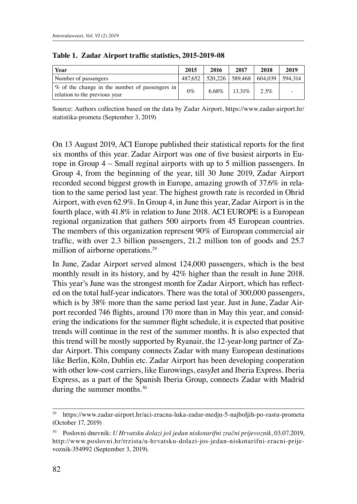| Year                                                                              | 2015    | 2016     | 2017      | 2018    | 2019    |
|-----------------------------------------------------------------------------------|---------|----------|-----------|---------|---------|
| Number of passengers                                                              | 487.652 | 520.226  | 589,468   | 604.039 | 594.314 |
| % of the change in the number of passengers in  <br>relation to the previous year | $0\%$   | $6.68\%$ | $13.31\%$ | 2.5%    |         |

**Table 1. Zadar Airport traffic statistics, 2015-2019-08**

Source: Authors collection based on the data by Zadar Airport, https://www.zadar-airport.hr/ statistika-prometa (September 3, 2019)

On 13 August 2019, ACI Europe published their statistical reports for the first six months of this year. Zadar Airport was one of five busiest airports in Europe in Group 4 – Small reginal airports with up to 5 million passengers. In Group 4, from the beginning of the year, till 30 June 2019, Zadar Airport recorded second biggest growth in Europe, amazing growth of 37.6% in relation to the same period last year. The highest growth rate is recorded in Ohrid Airport, with even 62.9%. In Group 4, in June this year, Zadar Airport is in the fourth place, with 41.8% in relation to June 2018. ACI EUROPE is a European regional organization that gathers 500 airports from 45 European countries. The members of this organization represent 90% of European commercial air traffic, with over 2.3 billion passengers, 21.2 million ton of goods and 25.7 million of airborne operations.<sup>29</sup>

In June, Zadar Airport served almost 124,000 passengers, which is the best monthly result in its history, and by 42% higher than the result in June 2018. This year's June was the strongest month for Zadar Airport, which has reflected on the total half-year indicators. There was the total of 300,000 passengers, which is by 38% more than the same period last year. Just in June, Zadar Airport recorded 746 flights, around 170 more than in May this year, and considering the indications for the summer flight schedule, it is expected that positive trends will continue in the rest of the summer months. It is also expected that this trend will be mostly supported by Ryanair, the 12-year-long partner of Zadar Airport. This company connects Zadar with many European destinations like Berlin, Köln, Dublin etc. Zadar Airport has been developing cooperation with other low-cost carriers, like Eurowings, easyJet and Iberia Express. Iberia Express, as a part of the Spanish Iberia Group, connects Zadar with Madrid during the summer months.30

<sup>29</sup> https://www.zadar-airport.hr/aci-zracna-luka-zadar-medju-5-najboljih-po-rastu-prometa (October 17, 2019)

<sup>30</sup> Poslovni dnevnik: *U Hrvatsku dolazi još jedan niskotarifni zračni prijevoznik*, 03.07.2019, http://www.poslovni.hr/trzista/u-hrvatsku-dolazi-jos-jedan-niskotarifni-zracni-prijevoznik-354992 (September 3, 2019).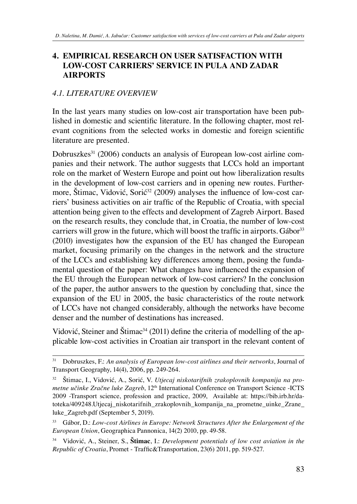## **4. EMPIRICAL RESEARCH ON USER SATISFACTION WITH LOW-COST CARRIERS' SERVICE IN PULA AND ZADAR AIRPORTS**

#### *4.1. LITERATURE OVERVIEW*

In the last years many studies on low-cost air transportation have been published in domestic and scientific literature. In the following chapter, most relevant cognitions from the selected works in domestic and foreign scientific literature are presented.

Dobruszkes<sup>31</sup> (2006) conducts an analysis of European low-cost airline companies and their network. The author suggests that LCCs hold an important role on the market of Western Europe and point out how liberalization results in the development of low-cost carriers and in opening new routes. Furthermore, Štimac, Vidović, Sorić<sup>32</sup> (2009) analyses the influence of low-cost carriers' business activities on air traffic of the Republic of Croatia, with special attention being given to the effects and development of Zagreb Airport. Based on the research results, they conclude that, in Croatia, the number of low-cost carriers will grow in the future, which will boost the traffic in airports.  $Gábor<sup>33</sup>$ (2010) investigates how the expansion of the EU has changed the European market, focusing primarily on the changes in the network and the structure of the LCCs and establishing key differences among them, posing the fundamental question of the paper: What changes have influenced the expansion of the EU through the European network of low-cost carriers? In the conclusion of the paper, the author answers to the question by concluding that, since the expansion of the EU in 2005, the basic characteristics of the route network of LCCs have not changed considerably, although the networks have become denser and the number of destinations has increased.

Vidović, Steiner and Štimac<sup>34</sup> (2011) define the criteria of modelling of the applicable low-cost activities in Croatian air transport in the relevant content of

<sup>34</sup> Vidović, A., Steiner, S., **Štimac**, I.: *Development potentials of low cost aviation in the Republic of Croatia*, Promet - Traffic&Transportation, 23(6) 2011, pp. 519-527.

<sup>31</sup> Dobruszkes, F.: *An analysis of European low-cost airlines and their networks*, Journal of Transport Geography, 14(4), 2006, pp. 249-264.

<sup>32</sup> Štimac, I., Vidović, A., Sorić, V. *Utjecaj niskotarifnih zrakoplovnih kompanija na prometne učinke Zračne luke Zagreb*, 12<sup>th</sup> International Conference on Transport Science -ICTS 2009 -Transport science, profession and practice, 2009, Available at: https://bib.irb.hr/datoteka/409248.Utjecaj\_niskotarifnih\_zrakoplovnih\_kompanija\_na\_prometne\_uinke\_Zrane\_ luke\_Zagreb.pdf (September 5, 2019).

<sup>33</sup> Gábor, D.: *Low-cost Airlines in Europe: Network Structures After the Enlargement of the European Union*, Geographica Pannonica, 14(2) 2010, pp. 49-58.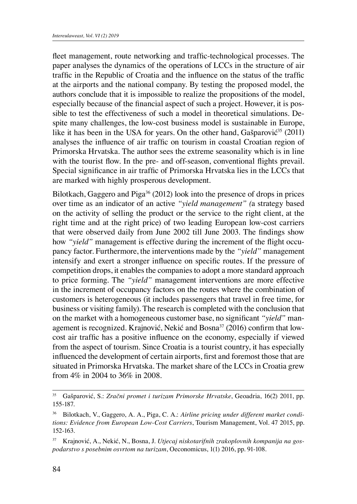fleet management, route networking and traffic-technological processes. The paper analyses the dynamics of the operations of LCCs in the structure of air traffic in the Republic of Croatia and the influence on the status of the traffic at the airports and the national company. By testing the proposed model, the authors conclude that it is impossible to realize the propositions of the model, especially because of the financial aspect of such a project. However, it is possible to test the effectiveness of such a model in theoretical simulations. Despite many challenges, the low-cost business model is sustainable in Europe, like it has been in the USA for years. On the other hand, Gašparović<sup>35</sup> (2011) analyses the influence of air traffic on tourism in coastal Croatian region of Primorska Hrvatska. The author sees the extreme seasonality which is in line with the tourist flow. In the pre- and off-season, conventional flights prevail. Special significance in air traffic of Primorska Hrvatska lies in the LCCs that are marked with highly prosperous development.

Bilotkach, Gaggero and Piga<sup>36</sup> (2012) look into the presence of drops in prices over time as an indicator of an active *"yield management" (*a strategy based on the activity of selling the product or the service to the right client, at the right time and at the right price) of two leading European low-cost carriers that were observed daily from June 2002 till June 2003. The findings show how "*yield*" management is effective during the increment of the flight occupancy factor. Furthermore, the interventions made by the *"yield"* management intensify and exert a stronger influence on specific routes. If the pressure of competition drops, it enables the companies to adopt a more standard approach to price forming. The *"yield"* management interventions are more effective in the increment of occupancy factors on the routes where the combination of customers is heterogeneous (it includes passengers that travel in free time, for business or visiting family). The research is completed with the conclusion that on the market with a homogeneous customer base, no significant *"yield"* management is recognized. Krajnović, Nekić and Bosna<sup>37</sup> (2016) confirm that lowcost air traffic has a positive influence on the economy, especially if viewed from the aspect of tourism. Since Croatia is a tourist country, it has especially influenced the development of certain airports, first and foremost those that are situated in Primorska Hrvatska. The market share of the LCCs in Croatia grew from 4% in 2004 to 36% in 2008.

<sup>35</sup> Gašparović, S.: *Zračni promet i turizam Primorske Hrvatske*, Geoadria, 16(2) 2011, pp. 155-187.

<sup>36</sup> Bilotkach, V., Gaggero, A. A., Piga, C. A.: *Airline pricing under different market conditions: Evidence from European Low-Cost Carriers*, Tourism Management, Vol. 47 2015, pp. 152-163.

<sup>37</sup> Krajnović, A., Nekić, N., Bosna, J. *Utjecaj niskotarifnih zrakoplovnih kompanija na gospodarstvo s posebnim osvrtom na turizam*, Oeconomicus, 1(1) 2016, pp. 91-108.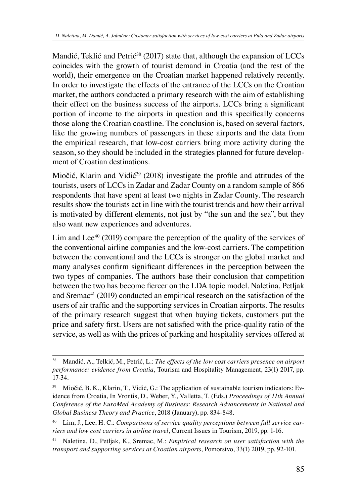Mandić, Teklić and Petrić<sup>38</sup> (2017) state that, although the expansion of LCCs coincides with the growth of tourist demand in Croatia (and the rest of the world), their emergence on the Croatian market happened relatively recently. In order to investigate the effects of the entrance of the LCCs on the Croatian market, the authors conducted a primary research with the aim of establishing their effect on the business success of the airports. LCCs bring a significant portion of income to the airports in question and this specifically concerns those along the Croatian coastline. The conclusion is, based on several factors, like the growing numbers of passengers in these airports and the data from the empirical research, that low-cost carriers bring more activity during the season, so they should be included in the strategies planned for future development of Croatian destinations.

Miočić, Klarin and Vidić<sup>39</sup> (2018) investigate the profile and attitudes of the tourists, users of LCCs in Zadar and Zadar County on a random sample of 866 respondents that have spent at least two nights in Zadar County. The research results show the tourists act in line with the tourist trends and how their arrival is motivated by different elements, not just by "the sun and the sea", but they also want new experiences and adventures.

Lim and Lee<sup>40</sup> (2019) compare the perception of the quality of the services of the conventional airline companies and the low-cost carriers. The competition between the conventional and the LCCs is stronger on the global market and many analyses confirm significant differences in the perception between the two types of companies. The authors base their conclusion that competition between the two has become fiercer on the LDA topic model. Naletina, Petljak and Sremac<sup>41</sup> (2019) conducted an empirical research on the satisfaction of the users of air traffic and the supporting services in Croatian airports. The results of the primary research suggest that when buying tickets, customers put the price and safety first. Users are not satisfied with the price-quality ratio of the service, as well as with the prices of parking and hospitality services offered at

<sup>38</sup> Mandić, A., Telkić, M., Petrić, L.: *The effects of the low cost carriers presence on airport performance: evidence from Croatia*, Tourism and Hospitality Management, 23(1) 2017, pp. 17-34.

<sup>&</sup>lt;sup>39</sup> Miočić, B. K., Klarin, T., Vidić, G.: The application of sustainable tourism indicators: Evidence from Croatia, In Vrontis, D., Weber, Y., Valletta, T. (Eds.) *Proceedings of 11th Annual Conference of the EuroMed Academy of Business: Research Advancements in National and Global Business Theory and Practice*, 2018 (January), pp. 834-848.

<sup>40</sup> Lim, J., Lee, H. C.: *Comparisons of service quality perceptions between full service carriers and low cost carriers in airline travel*, Current Issues in Tourism, 2019, pp. 1-16.

<sup>41</sup> Naletina, D., Petljak, K., Sremac, M.: *Empirical research on user satisfaction with the transport and supporting services at Croatian airports*, Pomorstvo, 33(1) 2019, pp. 92-101.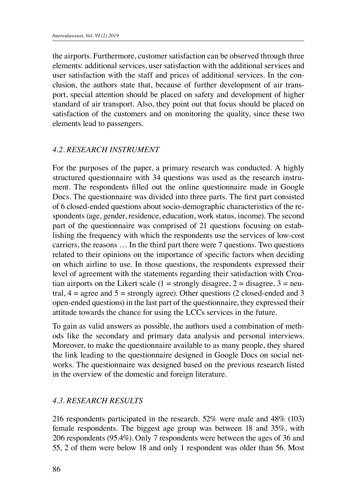the airports. Furthermore, customer satisfaction can be observed through three elements: additional services, user satisfaction with the additional services and user satisfaction with the staff and prices of additional services. In the conclusion, the authors state that, because of further development of air transport, special attention should be placed on safety and development of higher standard of air transport. Also, they point out that focus should be placed on satisfaction of the customers and on monitoring the quality, since these two elements lead to passengers.

### *4.2. RESEARCH INSTRUMENT*

For the purposes of the paper, a primary research was conducted. A highly structured questionnaire with 34 questions was used as the research instrument. The respondents filled out the online questionnaire made in Google Docs. The questionnaire was divided into three parts. The first part consisted of 6 closed-ended questions about socio-demographic characteristics of the respondents (age, gender, residence, education, work status, income). The second part of the questionnaire was comprised of 21 questions focusing on establishing the frequency with which the respondents use the services of low-cost carriers, the reasons … In the third part there were 7 questions. Two questions related to their opinions on the importance of specific factors when deciding on which airline to use. In those questions, the respondents expressed their level of agreement with the statements regarding their satisfaction with Croatian airports on the Likert scale (1 = strongly disagree, 2 = disagree, 3 = neutral,  $4 =$  agree and  $5 =$  strongly agree). Other questions (2 closed-ended and 3 open-ended questions) in the last part of the questionnaire, they expressed their attitude towards the chance for using the LCCs services in the future.

To gain as valid answers as possible, the authors used a combination of methods like the secondary and primary data analysis and personal interviews. Moreover, to make the questionnaire available to as many people, they shared the link leading to the questionnaire designed in Google Docs on social networks. The questionnaire was designed based on the previous research listed in the overview of the domestic and foreign literature.

#### *4.3. RESEARCH RESULTS*

216 respondents participated in the research. 52% were male and 48% (103) female respondents. The biggest age group was between 18 and 35%, with 206 respondents (95.4%). Only 7 respondents were between the ages of 36 and 55, 2 of them were below 18 and only 1 respondent was older than 56. Most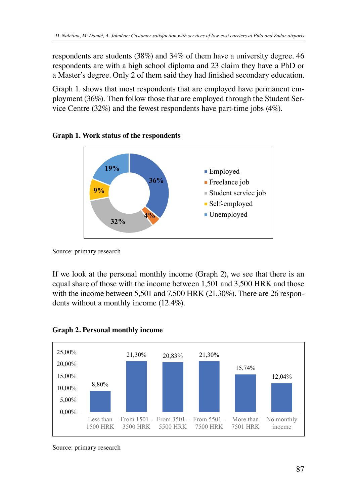respondents are students (38%) and 34% of them have a university degree. 46 respondents are with a high school diploma and  $23$  claim they have a PhD or a Master's degree. Only 2 of them said they had finished secondary education.

Graph 1. shows that most respondents that are employed have permanent employment (36%). Then follow those that are employed through the Student Service Centre (32%) and the fewest respondents have part-time jobs (4%).



#### **Graph 1. Work status of the respondents**   $G \cup A$  work status of the respondents of the respondents of the respondents of the respondents of the respondents of the respondents of the respondents of the respondents of the responding of the responding of the respond

Source: primary research Source: primary research

If we look at the personal monthly income (Graph 2), we see that there is an equal share of those with the income between 1,501 and 3,500 HRK and those with the income between 5,501 and 7,500 HRK (21.30%). There are 26 respon-<br>dants without a manthly income (12.4%) dents without a monthly income (12.4%).  $t_{\text{max}}$  with the including inverse  $\left(\frac{1}{2}, \frac{1}{2}, 0\right)$ .



# **Graph 2. Personal monthly income**  (12.4%).

Source: primary research Source: primary research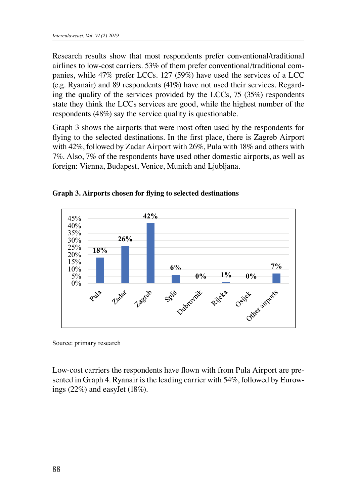Research results show that most respondents prefer conventional/traditional airlines to low-cost carriers. 53% of them prefer conventional/traditional companies, while 47% prefer LCCs. 127 (59%) have used the services of a LCC  $\overline{R}$ (e.g. Ryanair) and 89 respondents (41%) have not used their services. Regard- $(v.g.$  Kyanari) and  $\sigma$  respondents  $(47\%)$  have not used their services. Regarding the quality of the services provided by the LCCs, 75 (35%) respondents state they think the LCCs services are good, while the highest number of the respondents (48%) say the service quality is questionable. respondents (48%) say the service quality is questionable.

Graph 3 shows the airports that were most often used by the respondents for flying to the selected destinations. In the first place, there is Zagreb Airport with 42% followed by Zadar Airport with 42%, followed by Zadar Airport with 26%, Pula with 18% and others with  $7\%$ . Also, 7% of the respondents have used other domestic airports, as well as foreign: Vienna, Budapest, Venice, Munich and Ljubljana.



**Graph 3. Airports chosen for flying to selected destinations** 

Source: primary research

Low-cost carriers the respondents have flown with from Pula Airport are presented in Graph 4. Ryanair is the leading carrier with 54%, followed by Eurowings  $(22%)$  and easyJet  $(18%)$ .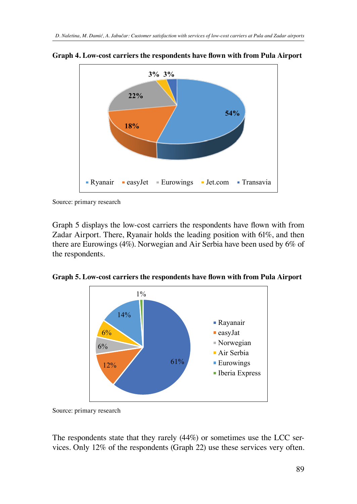$G$ raph 4. Low-cost carriers the respondents have flown with flown with from Pula Airport  $\mathcal{E}$ 



**Graph 4. Low-cost carriers the respondents have flown with from Pula Airport 3% 3%** Graph 4. Low-cost carriers the respondents have flown with from Pula Airport

Source: primary research Source: primary research

Graph 5 displays the low-cost carriers the respondents have flown with from  $\alpha$  and  $\alpha$  and  $\alpha$  are non-cost carriers the respondents have now if what from there are Eurowings  $(4\%)$ . Norwegian and Air Serbia have been used by 6% of the respondents. Graph 5 displays the low-cost carriers the respondents have flown with from Zadar Airport.  $\epsilon$ Spondents.

**Graph 5. Low-cost carriers the respondents have flown with from Pula Airport**  Graph 5. Low-cost carriers the respondents have flown with from Pula Airport



Source: primary research

The respondents state that they rarely (44%) or sometimes use the LCC services. Only 12% of the respondents (Graph 22) use these services very often.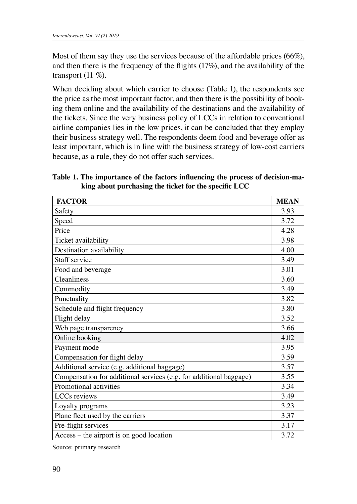Most of them say they use the services because of the affordable prices (66%), and then there is the frequency of the flights (17%), and the availability of the transport  $(11 \%)$ .

When deciding about which carrier to choose (Table 1), the respondents see the price as the most important factor, and then there is the possibility of booking them online and the availability of the destinations and the availability of the tickets. Since the very business policy of LCCs in relation to conventional airline companies lies in the low prices, it can be concluded that they employ their business strategy well. The respondents deem food and beverage offer as least important, which is in line with the business strategy of low-cost carriers because, as a rule, they do not offer such services.

**Table 1. The importance of the factors influencing the process of decision-making about purchasing the ticket for the specific LCC**

| <b>FACTOR</b>                                                      | <b>MEAN</b> |
|--------------------------------------------------------------------|-------------|
| Safety                                                             | 3.93        |
| Speed                                                              | 3.72        |
| Price                                                              | 4.28        |
| Ticket availability                                                | 3.98        |
| Destination availability                                           | 4.00        |
| Staff service                                                      | 3.49        |
| Food and beverage                                                  | 3.01        |
| Cleanliness                                                        | 3.60        |
| Commodity                                                          | 3.49        |
| Punctuality                                                        | 3.82        |
| Schedule and flight frequency                                      | 3.80        |
| Flight delay                                                       | 3.52        |
| Web page transparency                                              | 3.66        |
| Online booking                                                     | 4.02        |
| Payment mode                                                       | 3.95        |
| Compensation for flight delay                                      | 3.59        |
| Additional service (e.g. additional baggage)                       | 3.57        |
| Compensation for additional services (e.g. for additional baggage) | 3.55        |
| Promotional activities                                             | 3.34        |
| LCC <sub>s</sub> reviews                                           | 3.49        |
| Loyalty programs                                                   | 3.23        |
| Plane fleet used by the carriers                                   | 3.37        |
| Pre-flight services                                                | 3.17        |
| Access – the airport is on good location                           | 3.72        |

Source: primary research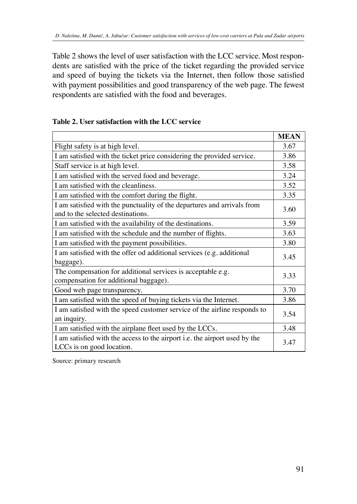Table 2 shows the level of user satisfaction with the LCC service. Most respondents are satisfied with the price of the ticket regarding the provided service and speed of buying the tickets via the Internet, then follow those satisfied with payment possibilities and good transparency of the web page. The fewest respondents are satisfied with the food and beverages.

|                                                                                                              | <b>MEAN</b> |
|--------------------------------------------------------------------------------------------------------------|-------------|
| Flight safety is at high level.                                                                              | 3.67        |
| I am satisfied with the ticket price considering the provided service.                                       | 3.86        |
| Staff service is at high level.                                                                              | 3.58        |
| I am satisfied with the served food and beverage.                                                            | 3.24        |
| I am satisfied with the cleanliness.                                                                         | 3.52        |
| I am satisfied with the comfort during the flight.                                                           | 3.35        |
| I am satisfied with the punctuality of the departures and arrivals from<br>and to the selected destinations. | 3.60        |
| I am satisfied with the availability of the destinations.                                                    | 3.59        |
| I am satisfied with the schedule and the number of flights.                                                  | 3.63        |
| I am satisfied with the payment possibilities.                                                               | 3.80        |
| I am satisfied with the offer od additional services (e.g. additional<br>baggage).                           | 3.45        |
| The compensation for additional services is acceptable e.g.<br>compensation for additional baggage).         | 3.33        |
| Good web page transparency.                                                                                  | 3.70        |
| I am satisfied with the speed of buying tickets via the Internet.                                            | 3.86        |
| I am satisfied with the speed customer service of the airline responds to<br>an inquiry.                     | 3.54        |
| I am satisfied with the airplane fleet used by the LCCs.                                                     | 3.48        |
| I am satisfied with the access to the airport i.e. the airport used by the<br>LCCs is on good location.      | 3.47        |

| Table 2. User satisfaction with the LCC service |  |
|-------------------------------------------------|--|
|                                                 |  |

Source: primary research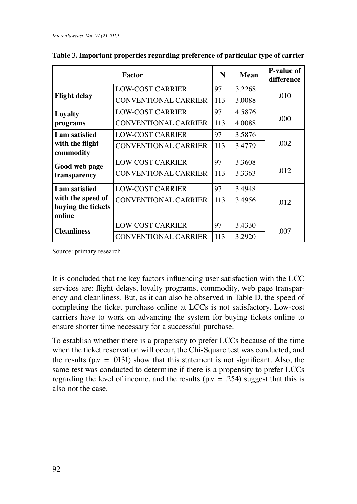| Factor                                            |                             | N   | <b>Mean</b> | <b>P-value of</b><br>difference |  |
|---------------------------------------------------|-----------------------------|-----|-------------|---------------------------------|--|
|                                                   | <b>LOW-COST CARRIER</b>     | 97  | 3.2268      |                                 |  |
| <b>Flight delay</b>                               | <b>CONVENTIONAL CARRIER</b> | 113 | 3.0088      | .010                            |  |
| Loyalty                                           | <b>LOW-COST CARRIER</b>     | 97  | 4.5876      |                                 |  |
| programs                                          | <b>CONVENTIONAL CARRIER</b> | 113 | 4.0088      | .000                            |  |
| I am satisfied                                    | <b>LOW-COST CARRIER</b>     | 97  | 3.5876      |                                 |  |
| with the flight<br>commodity                      | <b>CONVENTIONAL CARRIER</b> | 113 | 3.4779      | .002                            |  |
| Good web page                                     | <b>LOW-COST CARRIER</b>     | 97  | 3.3608      |                                 |  |
| transparency                                      | CONVENTIONAL CARRIER        | 113 | 3.3363      | .012                            |  |
| I am satisfied                                    | <b>LOW-COST CARRIER</b>     | 97  | 3.4948      |                                 |  |
| with the speed of<br>buying the tickets<br>online | <b>CONVENTIONAL CARRIER</b> | 113 | 3.4956      | .012                            |  |
| <b>Cleanliness</b>                                | <b>LOW-COST CARRIER</b>     | 97  | 3.4330      | .007                            |  |
|                                                   | <b>CONVENTIONAL CARRIER</b> | 113 | 3.2920      |                                 |  |

**Table 3. Important properties regarding preference of particular type of carrier**

Source: primary research

It is concluded that the key factors influencing user satisfaction with the LCC services are: flight delays, loyalty programs, commodity, web page transparency and cleanliness. But, as it can also be observed in Table D, the speed of completing the ticket purchase online at LCCs is not satisfactory. Low-cost carriers have to work on advancing the system for buying tickets online to ensure shorter time necessary for a successful purchase.

To establish whether there is a propensity to prefer LCCs because of the time when the ticket reservation will occur, the Chi-Square test was conducted, and the results (p.v.  $= .0131$ ) show that this statement is not significant. Also, the same test was conducted to determine if there is a propensity to prefer LCCs regarding the level of income, and the results ( $px = .254$ ) suggest that this is also not the case.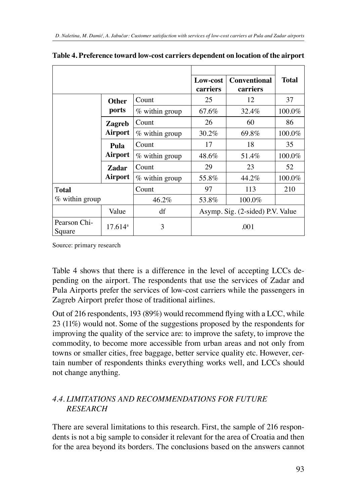|                                   |                                 |                  | Low-cost<br>carriers             | <b>Conventional</b><br>carriers | Total  |
|-----------------------------------|---------------------------------|------------------|----------------------------------|---------------------------------|--------|
|                                   | <b>Other</b>                    | Count            | 25                               | 12                              | 37     |
| ports<br>Zagreb<br><b>Airport</b> | $%$ within group                | 67.6%            | 32.4%                            | 100.0%                          |        |
|                                   | Pula<br><b>Airport</b><br>Zadar | Count            | 26                               | 60                              | 86     |
|                                   |                                 | % within group   | $30.2\%$                         | 69.8%                           | 100.0% |
|                                   |                                 | Count            | 17                               | 18                              | 35     |
|                                   |                                 | $%$ within group | 48.6%                            | 51.4%                           | 100.0% |
|                                   |                                 | Count            | 29                               | 23                              | 52     |
| Airport                           |                                 | $%$ within group | 55.8%                            | 44.2%                           | 100.0% |
| <b>Total</b>                      |                                 | Count            | 97                               | 113                             | 210    |
| $%$ within group                  |                                 | 46.2%            | 53.8%                            | 100.0%                          |        |
|                                   | Value                           | df               | Asymp. Sig. (2-sided) P.V. Value |                                 |        |
| Pearson Chi-<br>Square            | $17.614^a$                      | 3                | .001                             |                                 |        |

**Table 4. Preference toward low-cost carriers dependent on location of the airport**

Source: primary research

Table 4 shows that there is a difference in the level of accepting LCCs depending on the airport. The respondents that use the services of Zadar and Pula Airports prefer the services of low-cost carriers while the passengers in Zagreb Airport prefer those of traditional airlines.

Out of 216 respondents, 193 (89%) would recommend flying with a LCC, while 23 (11%) would not. Some of the suggestions proposed by the respondents for improving the quality of the service are: to improve the safety, to improve the commodity, to become more accessible from urban areas and not only from towns or smaller cities, free baggage, better service quality etc. However, certain number of respondents thinks everything works well, and LCCs should not change anything.

# *4.4. LIMITATIONS AND RECOMMENDATIONS FOR FUTURE RESEARCH*

There are several limitations to this research. First, the sample of 216 respondents is not a big sample to consider it relevant for the area of Croatia and then for the area beyond its borders. The conclusions based on the answers cannot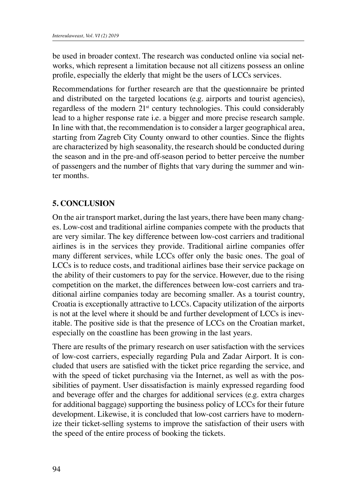be used in broader context. The research was conducted online via social networks, which represent a limitation because not all citizens possess an online profile, especially the elderly that might be the users of LCCs services.

Recommendations for further research are that the questionnaire be printed and distributed on the targeted locations (e.g. airports and tourist agencies), regardless of the modern 21<sup>st</sup> century technologies. This could considerably lead to a higher response rate i.e. a bigger and more precise research sample. In line with that, the recommendation is to consider a larger geographical area, starting from Zagreb City County onward to other counties. Since the flights are characterized by high seasonality, the research should be conducted during the season and in the pre-and off-season period to better perceive the number of passengers and the number of flights that vary during the summer and winter months.

# **5. CONCLUSION**

On the air transport market, during the last years, there have been many changes. Low-cost and traditional airline companies compete with the products that are very similar. The key difference between low-cost carriers and traditional airlines is in the services they provide. Traditional airline companies offer many different services, while LCCs offer only the basic ones. The goal of LCCs is to reduce costs, and traditional airlines base their service package on the ability of their customers to pay for the service. However, due to the rising competition on the market, the differences between low-cost carriers and traditional airline companies today are becoming smaller. As a tourist country, Croatia is exceptionally attractive to LCCs. Capacity utilization of the airports is not at the level where it should be and further development of LCCs is inevitable. The positive side is that the presence of LCCs on the Croatian market, especially on the coastline has been growing in the last years.

There are results of the primary research on user satisfaction with the services of low-cost carriers, especially regarding Pula and Zadar Airport. It is concluded that users are satisfied with the ticket price regarding the service, and with the speed of ticket purchasing via the Internet, as well as with the possibilities of payment. User dissatisfaction is mainly expressed regarding food and beverage offer and the charges for additional services (e.g. extra charges for additional baggage) supporting the business policy of LCCs for their future development. Likewise, it is concluded that low-cost carriers have to modernize their ticket-selling systems to improve the satisfaction of their users with the speed of the entire process of booking the tickets.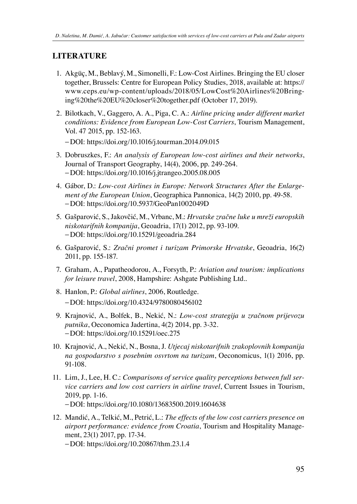# **LITERATURE**

- 1. Akgüç, M., Beblavý, M., Simonelli, F.: Low-Cost Airlines. Bringing the EU closer together, Brussels: Centre for European Policy Studies, 2018, available at: https:// www.ceps.eu/wp-content/uploads/2018/05/LowCost%20Airlines%20Bringing%20the%20EU%20closer%20together.pdf (October 17, 2019).
- 2. Bilotkach, V., Gaggero, A. A., Piga, C. A.: *Airline pricing under different market conditions: Evidence from European Low-Cost Carriers*, Tourism Management, Vol. 47 2015, pp. 152-163.
	- −DOI: https://doi.org/10.1016/j.tourman.2014.09.015
- 3. Dobruszkes, F.: *An analysis of European low-cost airlines and their networks*, Journal of Transport Geography, 14(4), 2006, pp. 249-264. −DOI: https://doi.org/10.1016/j.jtrangeo.2005.08.005
- 4. Gábor, D.: *Low-cost Airlines in Europe: Network Structures After the Enlargement of the European Union*, Geographica Pannonica, 14(2) 2010, pp. 49-58. −DOI: https://doi.org/10.5937/GeoPan1002049D
- 5. Gašparović, S., Jakovčić, M., Vrbanc, M.: *Hrvatske zračne luke u mreži europskih niskotarifnih kompanija*, Geoadria, 17(1) 2012, pp. 93-109. −DOI: https://doi.org/10.15291/geoadria.284
- 6. Gašparović, S.: *Zračni promet i turizam Primorske Hrvatske*, Geoadria, 16(2) 2011, pp. 155-187.
- 7. Graham, A., Papatheodorou, A., Forsyth, P.: *Aviation and tourism: implications for leisure travel*, 2008, Hampshire: Ashgate Publishing Ltd..
- 8. Hanlon, P.: *Global airlines*, 2006, Routledge. −DOI: https://doi.org/10.4324/9780080456102
- 9. Krajnović, A., Bolfek, B., Nekić, N.: *Low-cost strategija u zračnom prijevozu putnika*, Oeconomica Jadertina, 4(2) 2014, pp. 3-32. −DOI: https://doi.org/10.15291/oec.275
- 10. Krajnović, A., Nekić, N., Bosna, J. *Utjecaj niskotarifnih zrakoplovnih kompanija na gospodarstvo s posebnim osvrtom na turizam*, Oeconomicus, 1(1) 2016, pp. 91-108.
- 11. Lim, J., Lee, H. C.: *Comparisons of service quality perceptions between full service carriers and low cost carriers in airline travel*, Current Issues in Tourism, 2019, pp. 1-16. −DOI: https://doi.org/10.1080/13683500.2019.1604638
- 12. Mandić, A., Telkić, M., Petrić, L.: *The effects of the low cost carriers presence on airport performance: evidence from Croatia*, Tourism and Hospitality Management, 23(1) 2017, pp. 17-34. −DOI: https://doi.org/10.20867/thm.23.1.4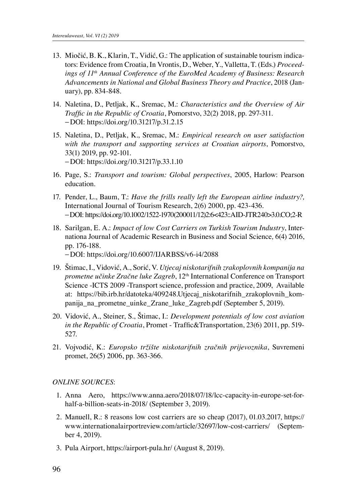- 13. Miočić, B. K., Klarin, T., Vidić, G.: The application of sustainable tourism indicators: Evidence from Croatia, In Vrontis, D., Weber, Y., Valletta, T. (Eds.) *Proceedings of 11th Annual Conference of the EuroMed Academy of Business: Research Advancements in National and Global Business Theory and Practice*, 2018 (January), pp. 834-848.
- 14. Naletina, D., Petljak, K., Sremac, M.: *Characteristics and the Overview of Air Traffic in the Republic of Croatia*, Pomorstvo, 32(2) 2018, pp. 297-311. −DOI: https://doi.org/10.31217/p.31.2.15
- 15. Naletina, D., Petljak, K., Sremac, M.: *Empirical research on user satisfaction with the transport and supporting services at Croatian airports*, Pomorstvo, 33(1) 2019, pp. 92-101. −DOI: https://doi.org/10.31217/p.33.1.10
- 16. Page, S.: *Transport and tourism: Global perspectives*, 2005, Harlow: Pearson education.
- 17. Pender, L., Baum, T.: *Have the frills really left the European airline industry?,* International Journal of Tourism Research, 2(6) 2000, pp. 423-436. −DOI: https://doi.org/10.1002/1522-1970(200011/12)2:6<423::AID-JTR240>3.0.CO;2-R
- 18. Sarilgan, E. A.: *Impact of low Cost Carriers on Turkish Tourism Industry*, Internationa Journal of Academic Research in Business and Social Science*,* 6(4) 2016, pp. 176-188.

 −DOI: https://doi.org/10.6007/IJARBSS/v6-i4/2088

- 19. Štimac, I., Vidović, A., Sorić, V. *Utjecaj niskotarifnih zrakoplovnih kompanija na prometne učinke Zračne luke Zagreb*, 12th International Conference on Transport Science -ICTS 2009 -Transport science, profession and practice, 2009, Available at: https://bib.irb.hr/datoteka/409248.Utjecaj\_niskotarifnih\_zrakoplovnih\_kompanija\_na\_prometne\_uinke\_Zrane\_luke\_Zagreb.pdf (September 5, 2019).
- 20. Vidović, A., Steiner, S., Štimac, I.: *Development potentials of low cost aviation in the Republic of Croatia*, Promet - Traffic&Transportation, 23(6) 2011, pp. 519- 527.
- 21. Vojvodić, K.: *Europsko tržište niskotarifnih zračnih prijevoznika*, Suvremeni promet, 26(5) 2006, pp. 363-366.

#### *ONLINE SOURCES*:

- 1. Anna Aero, https://www.anna.aero/2018/07/18/lcc-capacity-in-europe-set-forhalf-a-billion-seats-in-2018/ (September 3, 2019).
- 2. Manuell, R.: 8 reasons low cost carriers are so cheap (2017), 01.03.2017, https:// www.internationalairportreview.com/article/32697/low-cost-carriers/ (September 4, 2019).
- 3. Pula Airport, https://airport-pula.hr/ (August 8, 2019).